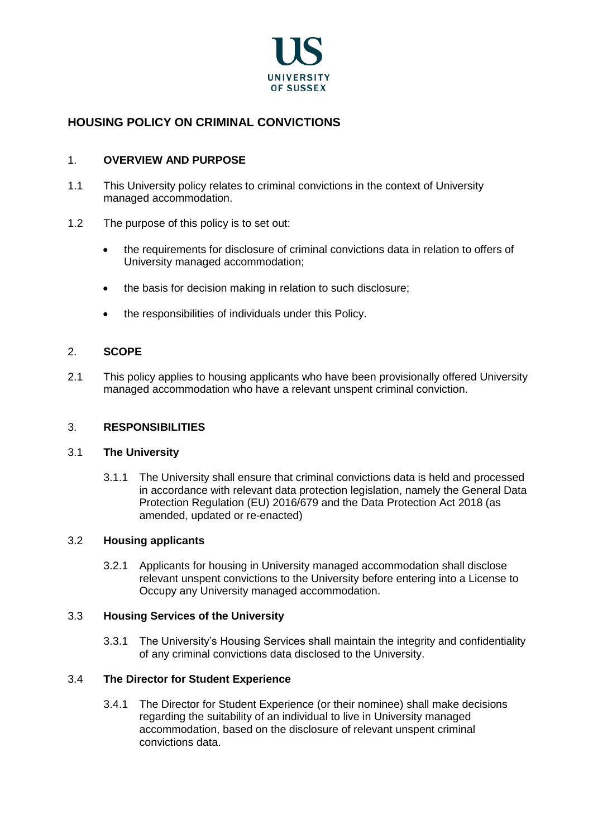

# **HOUSING POLICY ON CRIMINAL CONVICTIONS**

## 1. **OVERVIEW AND PURPOSE**

- 1.1 This University policy relates to criminal convictions in the context of University managed accommodation.
- 1.2 The purpose of this policy is to set out:
	- the requirements for disclosure of criminal convictions data in relation to offers of University managed accommodation;
	- the basis for decision making in relation to such disclosure;
	- the responsibilities of individuals under this Policy.

## 2. **SCOPE**

2.1 This policy applies to housing applicants who have been provisionally offered University managed accommodation who have a relevant unspent criminal conviction.

### 3. **RESPONSIBILITIES**

### 3.1 **The University**

3.1.1 The University shall ensure that criminal convictions data is held and processed in accordance with relevant data protection legislation, namely the General Data Protection Regulation (EU) 2016/679 and the Data Protection Act 2018 (as amended, updated or re-enacted)

### 3.2 **Housing applicants**

3.2.1 Applicants for housing in University managed accommodation shall disclose relevant unspent convictions to the University before entering into a License to Occupy any University managed accommodation.

### 3.3 **Housing Services of the University**

3.3.1 The University's Housing Services shall maintain the integrity and confidentiality of any criminal convictions data disclosed to the University.

### 3.4 **The Director for Student Experience**

3.4.1 The Director for Student Experience (or their nominee) shall make decisions regarding the suitability of an individual to live in University managed accommodation, based on the disclosure of relevant unspent criminal convictions data.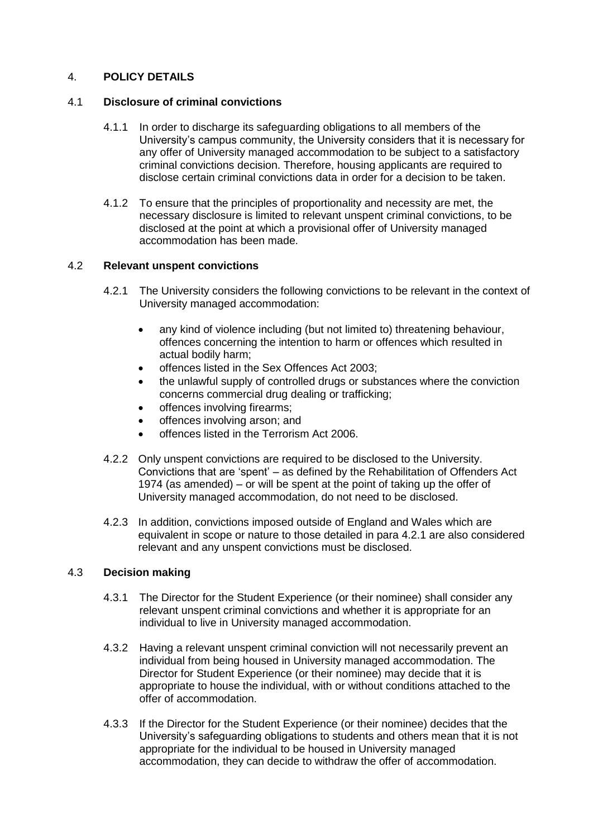## 4. **POLICY DETAILS**

## 4.1 **Disclosure of criminal convictions**

- 4.1.1 In order to discharge its safeguarding obligations to all members of the University's campus community, the University considers that it is necessary for any offer of University managed accommodation to be subject to a satisfactory criminal convictions decision. Therefore, housing applicants are required to disclose certain criminal convictions data in order for a decision to be taken.
- 4.1.2 To ensure that the principles of proportionality and necessity are met, the necessary disclosure is limited to relevant unspent criminal convictions, to be disclosed at the point at which a provisional offer of University managed accommodation has been made.

## 4.2 **Relevant unspent convictions**

- 4.2.1 The University considers the following convictions to be relevant in the context of University managed accommodation:
	- any kind of violence including (but not limited to) threatening behaviour, offences concerning the intention to harm or offences which resulted in actual bodily harm;
	- offences listed in the Sex Offences Act 2003;
	- the unlawful supply of controlled drugs or substances where the conviction concerns commercial drug dealing or trafficking;
	- offences involving firearms;
	- offences involving arson; and
	- offences listed in the Terrorism Act 2006.
- 4.2.2 Only unspent convictions are required to be disclosed to the University. Convictions that are 'spent' – as defined by the Rehabilitation of Offenders Act 1974 (as amended) – or will be spent at the point of taking up the offer of University managed accommodation, do not need to be disclosed.
- 4.2.3 In addition, convictions imposed outside of England and Wales which are equivalent in scope or nature to those detailed in para 4.2.1 are also considered relevant and any unspent convictions must be disclosed.

## 4.3 **Decision making**

- 4.3.1 The Director for the Student Experience (or their nominee) shall consider any relevant unspent criminal convictions and whether it is appropriate for an individual to live in University managed accommodation.
- 4.3.2 Having a relevant unspent criminal conviction will not necessarily prevent an individual from being housed in University managed accommodation. The Director for Student Experience (or their nominee) may decide that it is appropriate to house the individual, with or without conditions attached to the offer of accommodation.
- 4.3.3 If the Director for the Student Experience (or their nominee) decides that the University's safeguarding obligations to students and others mean that it is not appropriate for the individual to be housed in University managed accommodation, they can decide to withdraw the offer of accommodation.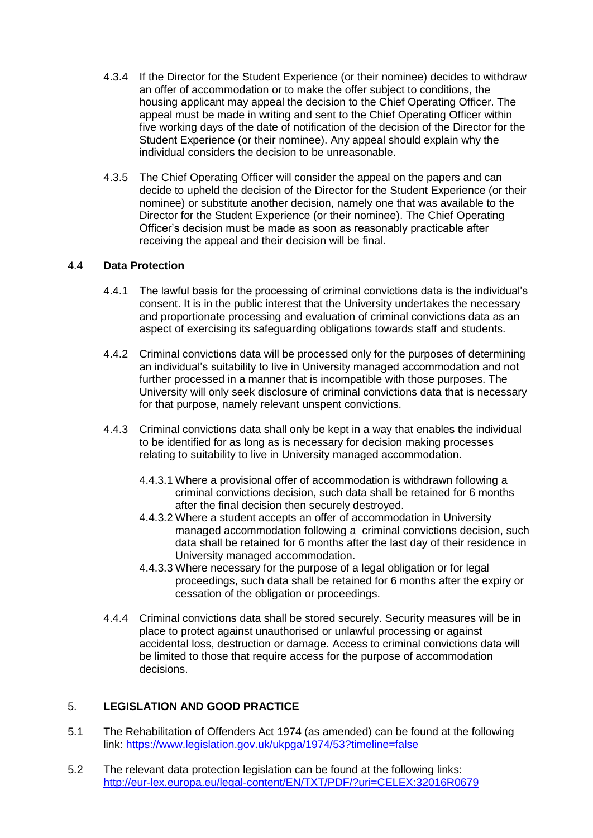- 4.3.4 If the Director for the Student Experience (or their nominee) decides to withdraw an offer of accommodation or to make the offer subject to conditions, the housing applicant may appeal the decision to the Chief Operating Officer. The appeal must be made in writing and sent to the Chief Operating Officer within five working days of the date of notification of the decision of the Director for the Student Experience (or their nominee). Any appeal should explain why the individual considers the decision to be unreasonable.
- 4.3.5 The Chief Operating Officer will consider the appeal on the papers and can decide to upheld the decision of the Director for the Student Experience (or their nominee) or substitute another decision, namely one that was available to the Director for the Student Experience (or their nominee). The Chief Operating Officer's decision must be made as soon as reasonably practicable after receiving the appeal and their decision will be final.

## 4.4 **Data Protection**

- 4.4.1 The lawful basis for the processing of criminal convictions data is the individual's consent. It is in the public interest that the University undertakes the necessary and proportionate processing and evaluation of criminal convictions data as an aspect of exercising its safeguarding obligations towards staff and students.
- 4.4.2 Criminal convictions data will be processed only for the purposes of determining an individual's suitability to live in University managed accommodation and not further processed in a manner that is incompatible with those purposes. The University will only seek disclosure of criminal convictions data that is necessary for that purpose, namely relevant unspent convictions.
- 4.4.3 Criminal convictions data shall only be kept in a way that enables the individual to be identified for as long as is necessary for decision making processes relating to suitability to live in University managed accommodation.
	- 4.4.3.1 Where a provisional offer of accommodation is withdrawn following a criminal convictions decision, such data shall be retained for 6 months after the final decision then securely destroyed.
	- 4.4.3.2 Where a student accepts an offer of accommodation in University managed accommodation following a criminal convictions decision, such data shall be retained for 6 months after the last day of their residence in University managed accommodation.
	- 4.4.3.3 Where necessary for the purpose of a legal obligation or for legal proceedings, such data shall be retained for 6 months after the expiry or cessation of the obligation or proceedings.
- 4.4.4 Criminal convictions data shall be stored securely. Security measures will be in place to protect against unauthorised or unlawful processing or against accidental loss, destruction or damage. Access to criminal convictions data will be limited to those that require access for the purpose of accommodation decisions.

### 5. **LEGISLATION AND GOOD PRACTICE**

- 5.1 The Rehabilitation of Offenders Act 1974 (as amended) can be found at the following link:<https://www.legislation.gov.uk/ukpga/1974/53?timeline=false>
- 5.2 The relevant data protection legislation can be found at the following links: <http://eur-lex.europa.eu/legal-content/EN/TXT/PDF/?uri=CELEX:32016R0679>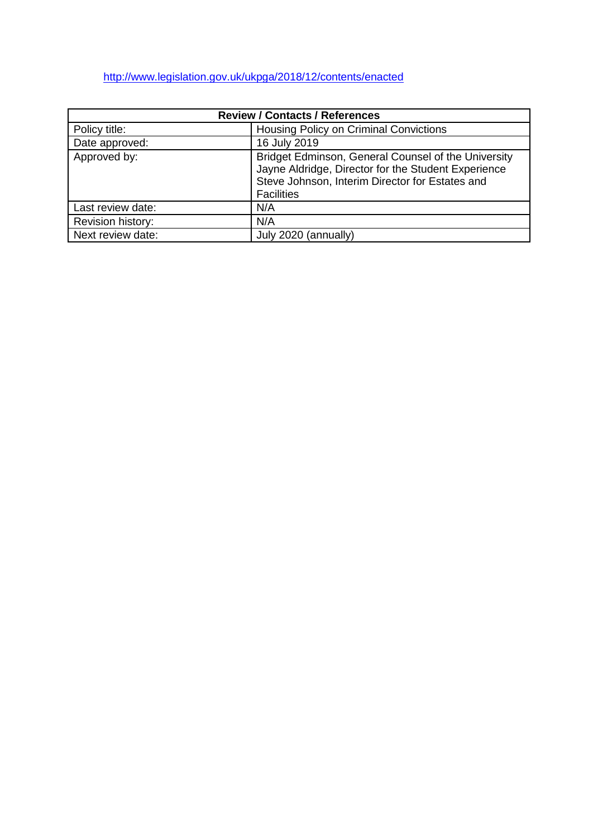# <http://www.legislation.gov.uk/ukpga/2018/12/contents/enacted>

| <b>Review / Contacts / References</b> |                                                                                                                                                                                    |
|---------------------------------------|------------------------------------------------------------------------------------------------------------------------------------------------------------------------------------|
| Policy title:                         | Housing Policy on Criminal Convictions                                                                                                                                             |
| Date approved:                        | 16 July 2019                                                                                                                                                                       |
| Approved by:                          | Bridget Edminson, General Counsel of the University<br>Jayne Aldridge, Director for the Student Experience<br>Steve Johnson, Interim Director for Estates and<br><b>Facilities</b> |
| Last review date:                     | N/A                                                                                                                                                                                |
| Revision history:                     | N/A                                                                                                                                                                                |
| Next review date:                     | July 2020 (annually)                                                                                                                                                               |